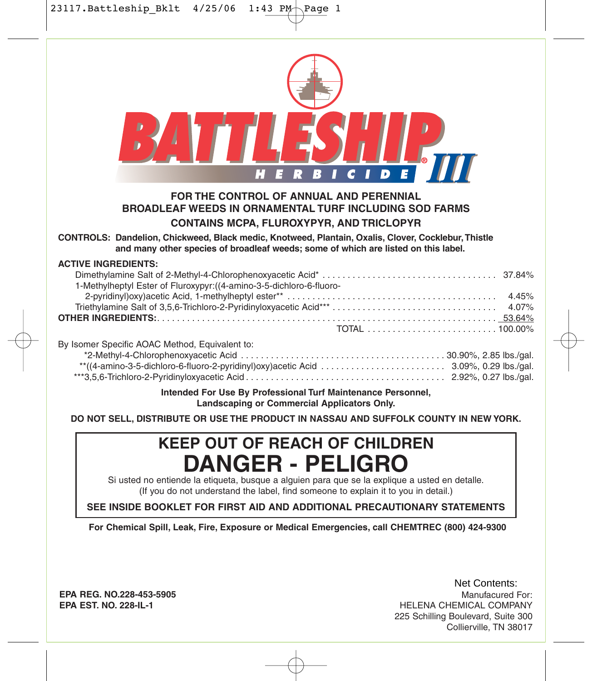| FOR THE CONTROL OF ANNUAL AND PERENNIAL<br><b>BROADLEAF WEEDS IN ORNAMENTAL TURF INCLUDING SOD FARMS</b><br><b>CONTAINS MCPA, FLUROXYPYR, AND TRICLOPYR</b>                               |
|-------------------------------------------------------------------------------------------------------------------------------------------------------------------------------------------|
| CONTROLS: Dandelion, Chickweed, Black medic, Knotweed, Plantain, Oxalis, Clover, Cocklebur, Thistle<br>and many other species of broadleaf weeds; some of which are listed on this label. |
| <b>ACTIVE INGREDIENTS:</b><br>1-Methylheptyl Ester of Fluroxypyr: ((4-amino-3-5-dichloro-6-fluoro-                                                                                        |
| By Isomer Specific AOAC Method, Equivalent to:                                                                                                                                            |
| Intended For Use By Professional Turf Maintenance Personnel,<br>Landscaping or Commercial Applicators Only.                                                                               |
| DO NOT SELL, DISTRIBUTE OR USE THE PRODUCT IN NASSAU AND SUFFOLK COUNTY IN NEW YORK.                                                                                                      |
| <b>KEEP OUT OF REACH OF CHILDREN</b>                                                                                                                                                      |
| <b>DANGER - PELIGRO</b>                                                                                                                                                                   |
| Si usted no entiende la etiqueta, busque a alguien para que se la explique a usted en detalle.<br>(If you do not understand the label, find someone to explain it to you in detail.)      |
| SEE INSIDE BOOKLET FOR FIRST AID AND ADDITIONAL PRECAUTIONARY STATEMENTS                                                                                                                  |

**EPA REG. NO.228-453-5905 EPA EST. NO. 228-IL-1**

Manufacured For: HELENA CHEMICAL COMPANY 225 Schilling Boulevard, Suite 300 Collierville, TN 38017 Net Contents: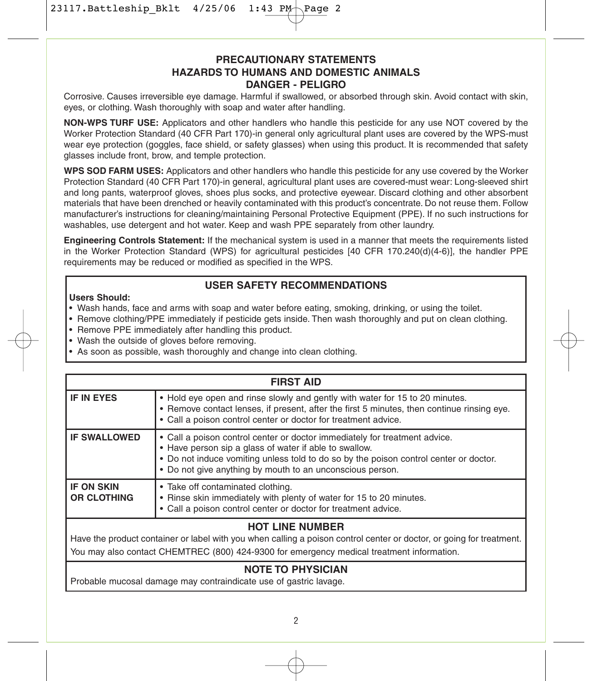$23117.$ Battleship\_Bklt  $4/25/06$  1:43 PM Page

## **PRECAUTIONARY STATEMENTS HAZARDS TO HUMANS AND DOMESTIC ANIMALS DANGER - PELIGRO**

Corrosive. Causes irreversible eye damage. Harmful if swallowed, or absorbed through skin. Avoid contact with skin, eyes, or clothing. Wash thoroughly with soap and water after handling.

**NON-WPS TURF USE:** Applicators and other handlers who handle this pesticide for any use NOT covered by the Worker Protection Standard (40 CFR Part 170)-in general only agricultural plant uses are covered by the WPS-must wear eye protection (goggles, face shield, or safety glasses) when using this product. It is recommended that safety glasses include front, brow, and temple protection.

**WPS SOD FARM USES:** Applicators and other handlers who handle this pesticide for any use covered by the Worker Protection Standard (40 CFR Part 170)-in general, agricultural plant uses are covered-must wear: Long-sleeved shirt and long pants, waterproof gloves, shoes plus socks, and protective eyewear. Discard clothing and other absorbent materials that have been drenched or heavily contaminated with this product's concentrate. Do not reuse them. Follow manufacturer's instructions for cleaning/maintaining Personal Protective Equipment (PPE). If no such instructions for washables, use detergent and hot water. Keep and wash PPE separately from other laundry.

**Engineering Controls Statement:** If the mechanical system is used in a manner that meets the requirements listed in the Worker Protection Standard (WPS) for agricultural pesticides [40 CFR 170.240(d)(4-6)], the handler PPE requirements may be reduced or modified as specified in the WPS.

## **USER SAFETY RECOMMENDATIONS**

#### **Users Should:**

- Wash hands, face and arms with soap and water before eating, smoking, drinking, or using the toilet.
- Remove clothing/PPE immediately if pesticide gets inside. Then wash thoroughly and put on clean clothing.
- Remove PPE immediately after handling this product.
- Wash the outside of gloves before removing.
- As soon as possible, wash thoroughly and change into clean clothing.

| • Hold eye open and rinse slowly and gently with water for 15 to 20 minutes.<br>• Remove contact lenses, if present, after the first 5 minutes, then continue rinsing eye.<br>• Call a poison control center or doctor for treatment advice.                                               |
|--------------------------------------------------------------------------------------------------------------------------------------------------------------------------------------------------------------------------------------------------------------------------------------------|
|                                                                                                                                                                                                                                                                                            |
| • Call a poison control center or doctor immediately for treatment advice.<br>• Have person sip a glass of water if able to swallow.<br>• Do not induce vomiting unless told to do so by the poison control center or doctor.<br>• Do not give anything by mouth to an unconscious person. |
| • Rinse skin immediately with plenty of water for 15 to 20 minutes.<br>• Call a poison control center or doctor for treatment advice.                                                                                                                                                      |
|                                                                                                                                                                                                                                                                                            |

## **HOT LINE NUMBER**

Have the product container or label with you when calling a poison control center or doctor, or going for treatment. You may also contact CHEMTREC (800) 424-9300 for emergency medical treatment information.

# **NOTE TO PHYSICIAN**

Probable mucosal damage may contraindicate use of gastric lavage.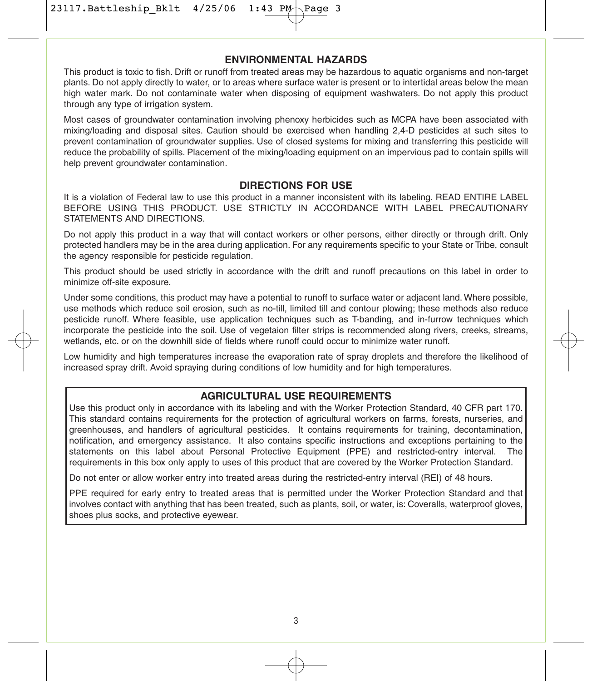23117. Battleship\_Bklt 4/25/06 1:43 PM

#### **ENVIRONMENTAL HAZARDS**

This product is toxic to fish. Drift or runoff from treated areas may be hazardous to aquatic organisms and non-target plants. Do not apply directly to water, or to areas where surface water is present or to intertidal areas below the mean high water mark. Do not contaminate water when disposing of equipment washwaters. Do not apply this product through any type of irrigation system.

Most cases of groundwater contamination involving phenoxy herbicides such as MCPA have been associated with mixing/loading and disposal sites. Caution should be exercised when handling 2,4-D pesticides at such sites to prevent contamination of groundwater supplies. Use of closed systems for mixing and transferring this pesticide will reduce the probability of spills. Placement of the mixing/loading equipment on an impervious pad to contain spills will help prevent groundwater contamination.

## **DIRECTIONS FOR USE**

It is a violation of Federal law to use this product in a manner inconsistent with its labeling. READ ENTIRE LABEL BEFORE USING THIS PRODUCT. USE STRICTLY IN ACCORDANCE WITH LABEL PRECAUTIONARY STATEMENTS AND DIRECTIONS.

Do not apply this product in a way that will contact workers or other persons, either directly or through drift. Only protected handlers may be in the area during application. For any requirements specific to your State or Tribe, consult the agency responsible for pesticide regulation.

This product should be used strictly in accordance with the drift and runoff precautions on this label in order to minimize off-site exposure.

Under some conditions, this product may have a potential to runoff to surface water or adjacent land. Where possible, use methods which reduce soil erosion, such as no-till, limited till and contour plowing; these methods also reduce pesticide runoff. Where feasible, use application techniques such as T-banding, and in-furrow techniques which incorporate the pesticide into the soil. Use of vegetaion filter strips is recommended along rivers, creeks, streams, wetlands, etc. or on the downhill side of fields where runoff could occur to minimize water runoff.

Low humidity and high temperatures increase the evaporation rate of spray droplets and therefore the likelihood of increased spray drift. Avoid spraying during conditions of low humidity and for high temperatures.

### **AGRICULTURAL USE REQUIREMENTS**

Use this product only in accordance with its labeling and with the Worker Protection Standard, 40 CFR part 170. This standard contains requirements for the protection of agricultural workers on farms, forests, nurseries, and greenhouses, and handlers of agricultural pesticides. It contains requirements for training, decontamination, notification, and emergency assistance. It also contains specific instructions and exceptions pertaining to the statements on this label about Personal Protective Equipment (PPE) and restricted-entry interval. The requirements in this box only apply to uses of this product that are covered by the Worker Protection Standard.

Do not enter or allow worker entry into treated areas during the restricted-entry interval (REI) of 48 hours.

PPE required for early entry to treated areas that is permitted under the Worker Protection Standard and that involves contact with anything that has been treated, such as plants, soil, or water, is: Coveralls, waterproof gloves, shoes plus socks, and protective eyewear.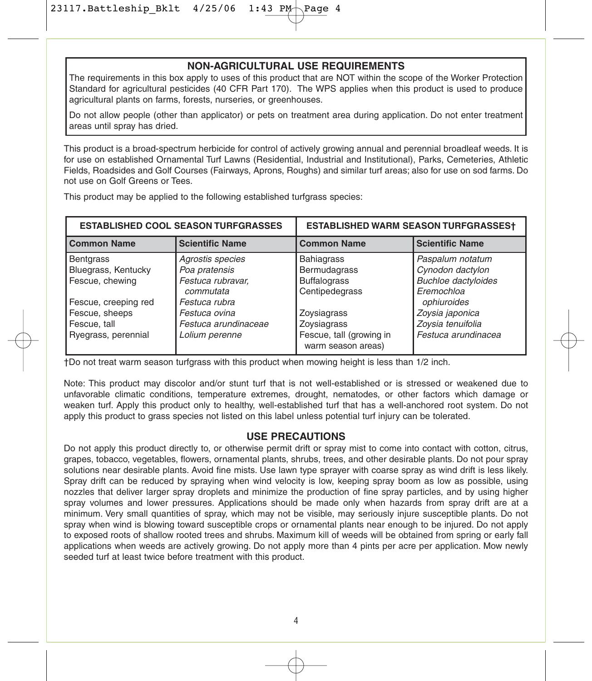#### **NON-AGRICULTURAL USE REQUIREMENTS**

The requirements in this box apply to uses of this product that are NOT within the scope of the Worker Protection Standard for agricultural pesticides (40 CFR Part 170). The WPS applies when this product is used to produce agricultural plants on farms, forests, nurseries, or greenhouses.

Do not allow people (other than applicator) or pets on treatment area during application. Do not enter treatment areas until spray has dried.

This product is a broad-spectrum herbicide for control of actively growing annual and perennial broadleaf weeds. It is for use on established Ornamental Turf Lawns (Residential, Industrial and Institutional), Parks, Cemeteries, Athletic Fields, Roadsides and Golf Courses (Fairways, Aprons, Roughs) and similar turf areas; also for use on sod farms. Do not use on Golf Greens or Tees.

This product may be applied to the following established turfgrass species:

|                      | <b>ESTABLISHED COOL SEASON TURFGRASSES</b> | <b>ESTABLISHED WARM SEASON TURFGRASSEST</b>    |                            |  |
|----------------------|--------------------------------------------|------------------------------------------------|----------------------------|--|
| <b>Common Name</b>   | <b>Scientific Name</b>                     | <b>Common Name</b>                             | <b>Scientific Name</b>     |  |
| <b>Bentgrass</b>     | Agrostis species                           | <b>Bahiagrass</b>                              | Paspalum notatum           |  |
| Bluegrass, Kentucky  | Poa pratensis                              | Bermudagrass                                   | Cynodon dactylon           |  |
| Fescue, chewing      | Festuca rubravar,                          | <b>Buffalograss</b>                            | <b>Buchloe dactyloides</b> |  |
|                      | commutata                                  | Centipedegrass                                 | Eremochloa                 |  |
| Fescue, creeping red | Festuca rubra                              |                                                | ophiuroides                |  |
| Fescue, sheeps       | Festuca ovina                              | Zoysiagrass                                    | Zovsia japonica            |  |
| Fescue, tall         | Festuca arundinaceae                       | Zoysiagrass                                    | Zovsia tenuifolia          |  |
| Ryegrass, perennial  | Lolium perenne                             | Fescue, tall (growing in<br>warm season areas) | Festuca arundinacea        |  |

†Do not treat warm season turfgrass with this product when mowing height is less than 1/2 inch.

Note: This product may discolor and/or stunt turf that is not well-established or is stressed or weakened due to unfavorable climatic conditions, temperature extremes, drought, nematodes, or other factors which damage or weaken turf. Apply this product only to healthy, well-established turf that has a well-anchored root system. Do not apply this product to grass species not listed on this label unless potential turf injury can be tolerated.

#### **USE PRECAUTIONS**

Do not apply this product directly to, or otherwise permit drift or spray mist to come into contact with cotton, citrus, grapes, tobacco, vegetables, flowers, ornamental plants, shrubs, trees, and other desirable plants. Do not pour spray solutions near desirable plants. Avoid fine mists. Use lawn type sprayer with coarse spray as wind drift is less likely. Spray drift can be reduced by spraying when wind velocity is low, keeping spray boom as low as possible, using nozzles that deliver larger spray droplets and minimize the production of fine spray particles, and by using higher spray volumes and lower pressures. Applications should be made only when hazards from spray drift are at a minimum. Very small quantities of spray, which may not be visible, may seriously injure susceptible plants. Do not spray when wind is blowing toward susceptible crops or ornamental plants near enough to be injured. Do not apply to exposed roots of shallow rooted trees and shrubs. Maximum kill of weeds will be obtained from spring or early fall applications when weeds are actively growing. Do not apply more than 4 pints per acre per application. Mow newly seeded turf at least twice before treatment with this product.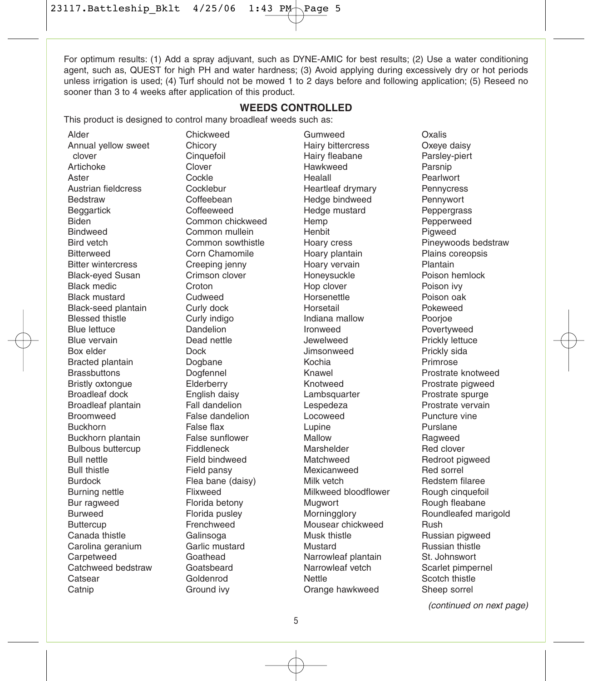$23117.$ Battleship\_Bklt  $4/25/06$  1:43 PM Page

For optimum results: (1) Add a spray adjuvant, such as DYNE-AMIC for best results; (2) Use a water conditioning agent, such as, QUEST for high PH and water hardness; (3) Avoid applying during excessively dry or hot periods unless irrigation is used; (4) Turf should not be mowed 1 to 2 days before and following application; (5) Reseed no sooner than 3 to 4 weeks after application of this product.

#### **WEEDS CONTROLLED**

This product is designed to control many broadleaf weeds such as:

Alder Annual yellow sweet clover Artichoke Aster Austrian fieldcress Bedstraw **Beggartick** Biden **Bindweed** Bird vetch **Bitterweed** Bitter wintercress Black-eyed Susan Black medic Black mustard Black-seed plantain Blessed thistle Blue lettuce Blue vervain Box elder Bracted plantain **Brassbuttons** Bristly oxtongue Broadleaf dock Broadleaf plantain Broomweed Buckhorn Buckhorn plantain Bulbous buttercup Bull nettle Bull thistle Burdock Burning nettle Bur ragweed Burweed **Buttercup** Canada thistle Carolina geranium **Carpetweed** Catchweed bedstraw **Catsear** Catnip

Chickweed **Chicory Cinquefoil** Clover Cockle Cocklebur Coffeebean **Coffeeweed** Common chickweed Common mullein Common sowthistle Corn Chamomile Creeping jenny Crimson clover **Croton** Cudweed Curly dock Curly indigo Dandelion Dead nettle Dock Dogbane Dogfennel **Elderberry** English daisy Fall dandelion False dandelion False flax False sunflower Fiddleneck Field bindweed Field pansy Flea bane (daisy) Flixweed Florida betony Florida pusley Frenchweed Galinsoga Garlic mustard Goathead Goatsbeard Goldenrod Ground ivy

Gumweed Hairy bittercress Hairy fleabane Hawkweed Healall Heartleaf drymary Hedge bindweed Hedge mustard Hemp Henbit Hoary cress Hoary plantain Hoary vervain Honeysuckle Hop clover Horsenettle Horsetail Indiana mallow Ironweed Jewelweed Jimsonweed Kochia Knawel Knotweed **Lambsquarter** Lespedeza Locoweed Lupine Mallow Marshelder Matchweed Mexicanweed Milk vetch Milkweed bloodflower **Mugwort Morningglory** Mousear chickweed Musk thistle Mustard Narrowleaf plantain Narrowleaf vetch Nettle Orange hawkweed

Oxalis Oxeye daisy Parsley-piert Parsnip **Pearlwort Pennycress** Pennywort **Peppergrass** Pepperweed **Pigweed** Pineywoods bedstraw Plains coreopsis Plantain Poison hemlock Poison ivy Poison oak Pokeweed Poorjoe Povertyweed Prickly lettuce Prickly sida Primrose Prostrate knotweed Prostrate pigweed Prostrate spurge Prostrate vervain Puncture vine Purslane Ragweed Red clover Redroot pigweed Red sorrel Redstem filaree Rough cinquefoil Rough fleabane Roundleafed marigold Rush Russian pigweed Russian thistle St. Johnswort Scarlet pimpernel Scotch thistle Sheep sorrel

(continued on next page)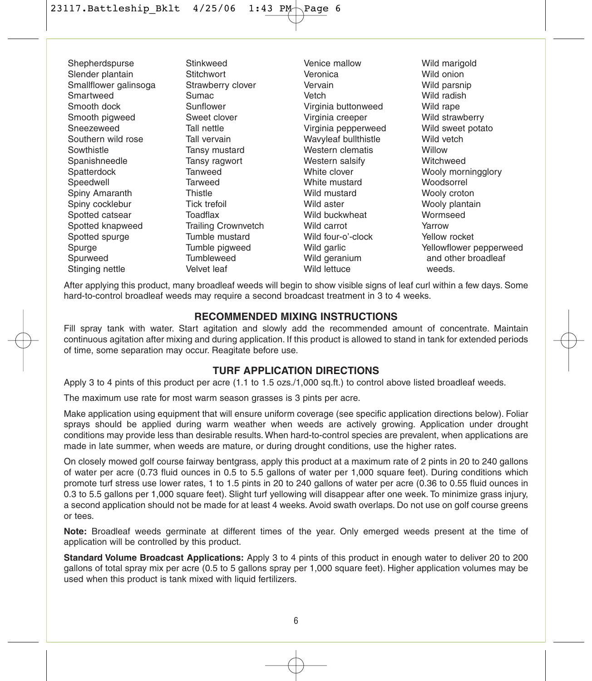Shepherdspurse Slender plantain Smallflower galinsoga Smartweed Smooth dock Smooth pigweed Sneezeweed Southern wild rose **Sowthistle** Spanishneedle **Spatterdock** Speedwell Spiny Amaranth Spiny cocklebur Spotted catsear Spotted knapweed Spotted spurge Spurge Spurweed Stinging nettle

Stinkweed **Stitchwort** Strawberry clover Sumac Sunflower Sweet clover Tall nettle Tall vervain Tansy mustard Tansy ragwort Tanweed Tarweed **Thistle** Tick trefoil Toadflax Trailing Crownvetch Tumble mustard Tumble pigweed **Tumbleweed** Velvet leaf

Venice mallow Veronica Vervain Vetch Virginia buttonweed Virginia creeper Virginia pepperweed Wavyleaf bullthistle Western clematis Western salsify White clover White mustard Wild mustard Wild aster Wild buckwheat Wild carrot Wild four-o'-clock Wild garlic Wild geranium Wild lettuce

Wild marigold Wild onion Wild parsnip Wild radish Wild rape Wild strawberry Wild sweet potato Wild vetch **Willow** Witchweed Wooly morningglory Woodsorrel Wooly croton Wooly plantain Wormseed Yarrow Yellow rocket Yellowflower pepperweed and other broadleaf weeds.

After applying this product, many broadleaf weeds will begin to show visible signs of leaf curl within a few days. Some hard-to-control broadleaf weeds may require a second broadcast treatment in 3 to 4 weeks.

#### **RECOMMENDED MIXING INSTRUCTIONS**

Fill spray tank with water. Start agitation and slowly add the recommended amount of concentrate. Maintain continuous agitation after mixing and during application. If this product is allowed to stand in tank for extended periods of time, some separation may occur. Reagitate before use.

## **TURF APPLICATION DIRECTIONS**

Apply 3 to 4 pints of this product per acre (1.1 to 1.5 ozs./1,000 sq.ft.) to control above listed broadleaf weeds.

The maximum use rate for most warm season grasses is 3 pints per acre.

Make application using equipment that will ensure uniform coverage (see specific application directions below). Foliar sprays should be applied during warm weather when weeds are actively growing. Application under drought conditions may provide less than desirable results. When hard-to-control species are prevalent, when applications are made in late summer, when weeds are mature, or during drought conditions, use the higher rates.

On closely mowed golf course fairway bentgrass, apply this product at a maximum rate of 2 pints in 20 to 240 gallons of water per acre (0.73 fluid ounces in 0.5 to 5.5 gallons of water per 1,000 square feet). During conditions which promote turf stress use lower rates, 1 to 1.5 pints in 20 to 240 gallons of water per acre (0.36 to 0.55 fluid ounces in 0.3 to 5.5 gallons per 1,000 square feet). Slight turf yellowing will disappear after one week. To minimize grass injury, a second application should not be made for at least 4 weeks. Avoid swath overlaps. Do not use on golf course greens or tees.

**Note:** Broadleaf weeds germinate at different times of the year. Only emerged weeds present at the time of application will be controlled by this product.

**Standard Volume Broadcast Applications:** Apply 3 to 4 pints of this product in enough water to deliver 20 to 200 gallons of total spray mix per acre (0.5 to 5 gallons spray per 1,000 square feet). Higher application volumes may be used when this product is tank mixed with liquid fertilizers.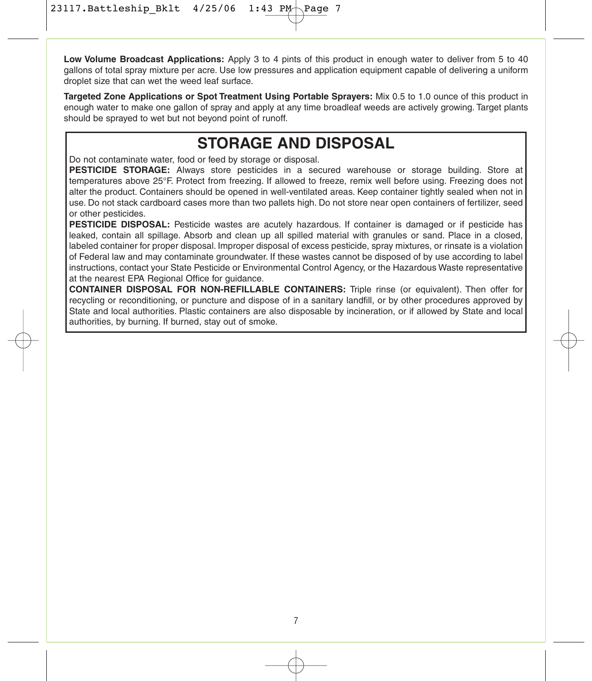**Low Volume Broadcast Applications:** Apply 3 to 4 pints of this product in enough water to deliver from 5 to 40 gallons of total spray mixture per acre. Use low pressures and application equipment capable of delivering a uniform droplet size that can wet the weed leaf surface.

**Targeted Zone Applications or Spot Treatment Using Portable Sprayers:** Mix 0.5 to 1.0 ounce of this product in enough water to make one gallon of spray and apply at any time broadleaf weeds are actively growing. Target plants should be sprayed to wet but not beyond point of runoff.

# **STORAGE AND DISPOSAL**

Do not contaminate water, food or feed by storage or disposal.

**PESTICIDE STORAGE:** Always store pesticides in a secured warehouse or storage building. Store at temperatures above 25°F. Protect from freezing. If allowed to freeze, remix well before using. Freezing does not alter the product. Containers should be opened in well-ventilated areas. Keep container tightly sealed when not in use. Do not stack cardboard cases more than two pallets high. Do not store near open containers of fertilizer, seed or other pesticides.

**PESTICIDE DISPOSAL:** Pesticide wastes are acutely hazardous. If container is damaged or if pesticide has leaked, contain all spillage. Absorb and clean up all spilled material with granules or sand. Place in a closed, labeled container for proper disposal. Improper disposal of excess pesticide, spray mixtures, or rinsate is a violation of Federal law and may contaminate groundwater. If these wastes cannot be disposed of by use according to label instructions, contact your State Pesticide or Environmental Control Agency, or the Hazardous Waste representative at the nearest EPA Regional Office for guidance.

**CONTAINER DISPOSAL FOR NON-REFILLABLE CONTAINERS:** Triple rinse (or equivalent). Then offer for recycling or reconditioning, or puncture and dispose of in a sanitary landfill, or by other procedures approved by State and local authorities. Plastic containers are also disposable by incineration, or if allowed by State and local authorities, by burning. If burned, stay out of smoke.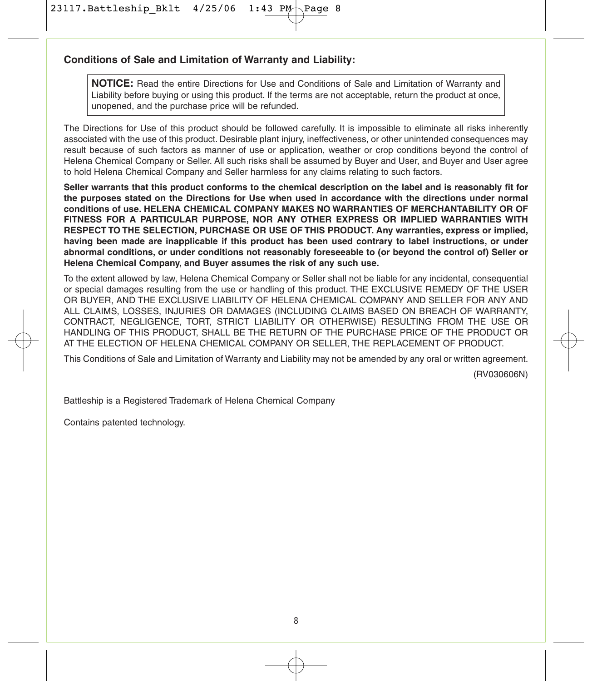23117. Battleship\_Bklt 4/25/06 1:43 PM

#### **Conditions of Sale and Limitation of Warranty and Liability:**

**NOTICE:** Read the entire Directions for Use and Conditions of Sale and Limitation of Warranty and Liability before buying or using this product. If the terms are not acceptable, return the product at once, unopened, and the purchase price will be refunded.

The Directions for Use of this product should be followed carefully. It is impossible to eliminate all risks inherently associated with the use of this product. Desirable plant injury, ineffectiveness, or other unintended consequences may result because of such factors as manner of use or application, weather or crop conditions beyond the control of Helena Chemical Company or Seller. All such risks shall be assumed by Buyer and User, and Buyer and User agree to hold Helena Chemical Company and Seller harmless for any claims relating to such factors.

**Seller warrants that this product conforms to the chemical description on the label and is reasonably fit for the purposes stated on the Directions for Use when used in accordance with the directions under normal conditions of use. HELENA CHEMICAL COMPANY MAKES NO WARRANTIES OF MERCHANTABILITY OR OF FITNESS FOR A PARTICULAR PURPOSE, NOR ANY OTHER EXPRESS OR IMPLIED WARRANTIES WITH RESPECT TO THE SELECTION, PURCHASE OR USE OF THIS PRODUCT. Any warranties, express or implied, having been made are inapplicable if this product has been used contrary to label instructions, or under abnormal conditions, or under conditions not reasonably foreseeable to (or beyond the control of) Seller or Helena Chemical Company, and Buyer assumes the risk of any such use.**

To the extent allowed by law, Helena Chemical Company or Seller shall not be liable for any incidental, consequential or special damages resulting from the use or handling of this product. THE EXCLUSIVE REMEDY OF THE USER OR BUYER, AND THE EXCLUSIVE LIABILITY OF HELENA CHEMICAL COMPANY AND SELLER FOR ANY AND ALL CLAIMS, LOSSES, INJURIES OR DAMAGES (INCLUDING CLAIMS BASED ON BREACH OF WARRANTY, CONTRACT, NEGLIGENCE, TORT, STRICT LIABILITY OR OTHERWISE) RESULTING FROM THE USE OR HANDLING OF THIS PRODUCT, SHALL BE THE RETURN OF THE PURCHASE PRICE OF THE PRODUCT OR AT THE ELECTION OF HELENA CHEMICAL COMPANY OR SELLER, THE REPLACEMENT OF PRODUCT.

This Conditions of Sale and Limitation of Warranty and Liability may not be amended by any oral or written agreement.

(RV030606N)

Battleship is a Registered Trademark of Helena Chemical Company

Contains patented technology.